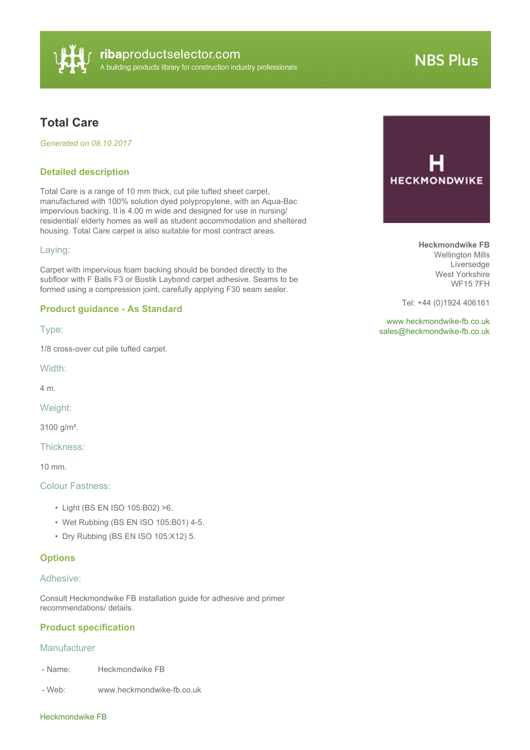

# **NBS Plus**

# **Total Care**

*Generated on 08.10.2017*

### **Detailed description**

Total Care is a range of 10 mm thick, cut pile tufted sheet carpet, manufactured with 100% solution dyed polypropylene, with an Aqua-Bac impervious backing. It is 4.00 m wide and designed for use in nursing/ residential/ elderly homes as well as student accommodation and sheltered housing. Total Care carpet is also suitable for most contract areas.

#### Laying:

Carpet with impervious foam backing should be bonded directly to the subfloor with F Balls F3 or Bostik Laybond carpet adhesive. Seams to be formed using a compression joint, carefully applying F30 seam sealer.

#### **Product guidance - As Standard**

Type:

1/8 cross-over cut pile tufted carpet.

Width:

4 m.

Weight:

3100 g/m².

Thickness:

10 mm.

#### Colour Fastness:

- Light (BS EN ISO 105:B02) >6.
- Wet Rubbing (BS EN ISO 105:B01) 4-5.
- Dry Rubbing (BS EN ISO 105:X12) 5.

#### **Options**

#### Adhesive:

Consult Heckmondwike FB installation guide for adhesive and primer recommendations/ details.

#### **Product specification**

## **Manufacturer**

- Name: Heckmondwike FB

- Web: www.heckmondwike-fb.co.uk



**Heckmondwike FB** Wellington Mills Liversedge West Yorkshire WF15 7FH

Tel: +44 (0)1924 406161

<www.heckmondwike-fb.co.uk> [sales@heckmondwike-fb.co.uk](mailto:sales@heckmondwike-fb.co.uk?subject=Total Care)

#### Heckmondwike FB